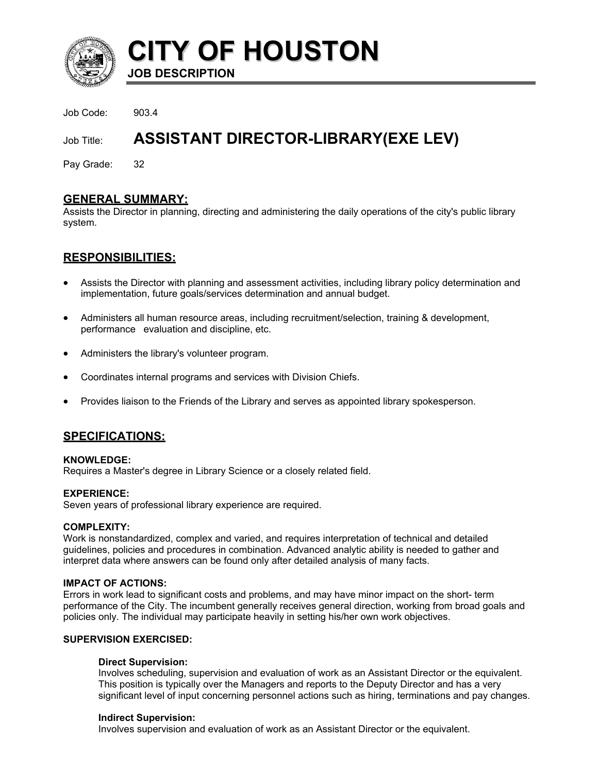

**CITY OF HOUSTON**

**JOB DESCRIPTION** 

Job Code: 903.4

# Job Title: **ASSISTANT DIRECTOR-LIBRARY(EXE LEV)**

Pay Grade: 32

## **GENERAL SUMMARY:**

Assists the Director in planning, directing and administering the daily operations of the city's public library system.

# **RESPONSIBILITIES:**

- Assists the Director with planning and assessment activities, including library policy determination and implementation, future goals/services determination and annual budget.
- Administers all human resource areas, including recruitment/selection, training & development, performance evaluation and discipline, etc.
- Administers the library's volunteer program.
- Coordinates internal programs and services with Division Chiefs.
- Provides liaison to the Friends of the Library and serves as appointed library spokesperson.

# **SPECIFICATIONS:**

#### **KNOWLEDGE:**

Requires a Master's degree in Library Science or a closely related field.

### **EXPERIENCE:**

Seven years of professional library experience are required.

#### **COMPLEXITY:**

Work is nonstandardized, complex and varied, and requires interpretation of technical and detailed guidelines, policies and procedures in combination. Advanced analytic ability is needed to gather and interpret data where answers can be found only after detailed analysis of many facts.

#### **IMPACT OF ACTIONS:**

Errors in work lead to significant costs and problems, and may have minor impact on the short- term performance of the City. The incumbent generally receives general direction, working from broad goals and policies only. The individual may participate heavily in setting his/her own work objectives.

#### **SUPERVISION EXERCISED:**

#### **Direct Supervision:**

Involves scheduling, supervision and evaluation of work as an Assistant Director or the equivalent. This position is typically over the Managers and reports to the Deputy Director and has a very significant level of input concerning personnel actions such as hiring, terminations and pay changes.

#### **Indirect Supervision:**

Involves supervision and evaluation of work as an Assistant Director or the equivalent.